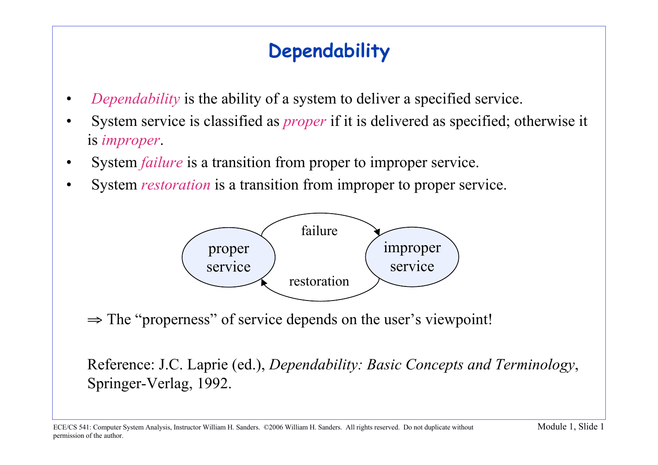# **Dependability**

- *Dependability* is the ability of a system to deliver a specified service.
- System service is classified as *proper* if it is delivered as specified; otherwise it is *improper*.
- System *failure* is a transition from proper to improper service.
- System *restoration* is a transition from improper to proper service.



⇒ The "properness" of service depends on the user's viewpoint!

Reference: J.C. Laprie (ed.), *Dependability: Basic Concepts and Terminology*, Springer-Verlag, 1992.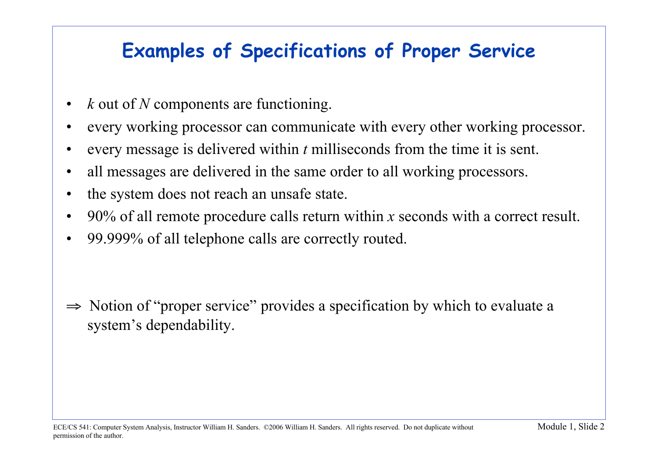#### **Examples of Specifications of Proper Service**

- *k* out of *N* components are functioning.
- every working processor can communicate with every other working processor.
- every message is delivered within *t* milliseconds from the time it is sent.
- all messages are delivered in the same order to all working processors.
- the system does not reach an unsafe state.
- 90% of all remote procedure calls return within *x* seconds with a correct result.
- 99.999% of all telephone calls are correctly routed.

⇒ Notion of "proper service" provides a specification by which to evaluate a system's dependability.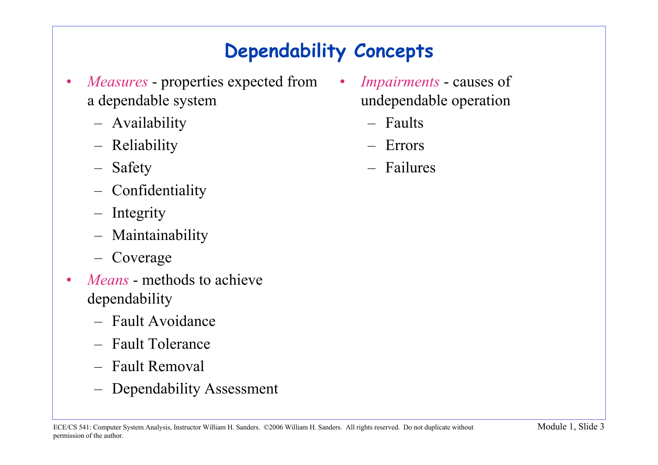## **Dependability Concepts**

- *Measures* properties expected from a dependable system
	- Availability
	- Reliability
	- Safety
	- Confidentiality
	- Integrity
	- Maintainability
	- Coverage
- *Means* methods to achieve dependability
	- Fault Avoidance
	- Fault Tolerance
	- Fault Removal
	- Dependability Assessment
- *Impairments* causes of undependable operation
	- Faults
	- Errors
	- Failures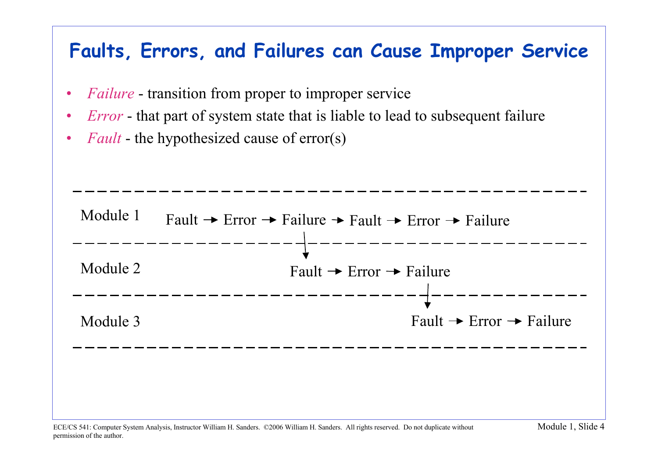#### **Faults, Errors, and Failures can Cause Improper Service**

- *Failure* transition from proper to improper service
- *Error* that part of system state that is liable to lead to subsequent failure
- *Fault* the hypothesized cause of error(s)

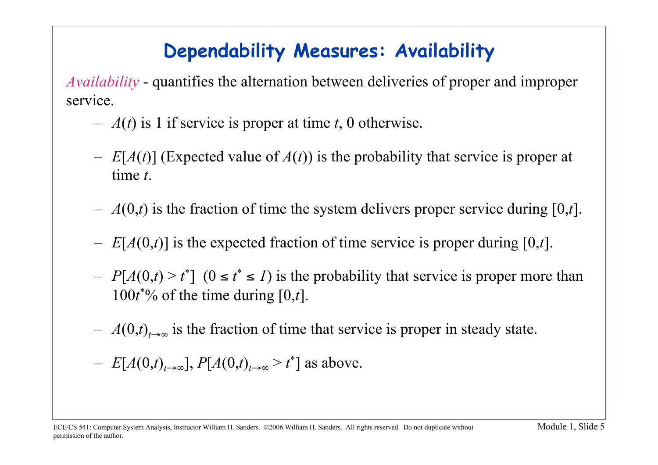# **Dependability Measures: Availability**

*Availability* - quantifies the alternation between deliveries of proper and improper service.

- *A*(*t*) is 1 if service is proper at time *t*, 0 otherwise.
- $E[A(t)]$  (Expected value of  $A(t)$ ) is the probability that service is proper at time *t*.
- $A(0,t)$  is the fraction of time the system delivers proper service during [0,*t*].
- $E[A(0,t)]$  is the expected fraction of time service is proper during [0,*t*].
- $-P[A(0,t) > t^*]$   $(0 \le t^* \le 1)$  is the probability that service is proper more than  $100t^*$ % of the time during  $[0,t]$ .
- $A(0,t)_{t\to\infty}$  is the fraction of time that service is proper in steady state.

$$
- E[A(0,t)]_{t\to\infty}], P[A(0,t)]_{t\to\infty} > t^*]
$$
 as above.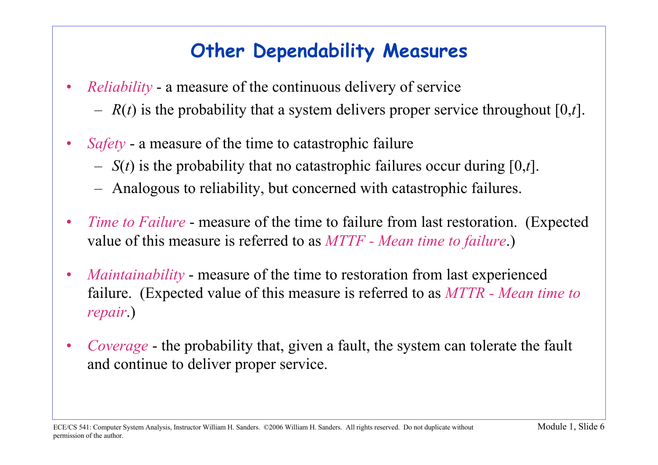#### **Other Dependability Measures**

- *Reliability* a measure of the continuous delivery of service  $-R(t)$  is the probability that a system delivers proper service throughout [0,*t*].
- *Safety* a measure of the time to catastrophic failure
	- $-S(t)$  is the probability that no catastrophic failures occur during [0,*t*].
	- Analogous to reliability, but concerned with catastrophic failures.
- *Time to Failure* measure of the time to failure from last restoration. (Expected value of this measure is referred to as *MTTF - Mean time to failure*.)
- *Maintainability* measure of the time to restoration from last experienced failure. (Expected value of this measure is referred to as *MTTR - Mean time to repair*.)
- *Coverage* the probability that, given a fault, the system can tolerate the fault and continue to deliver proper service.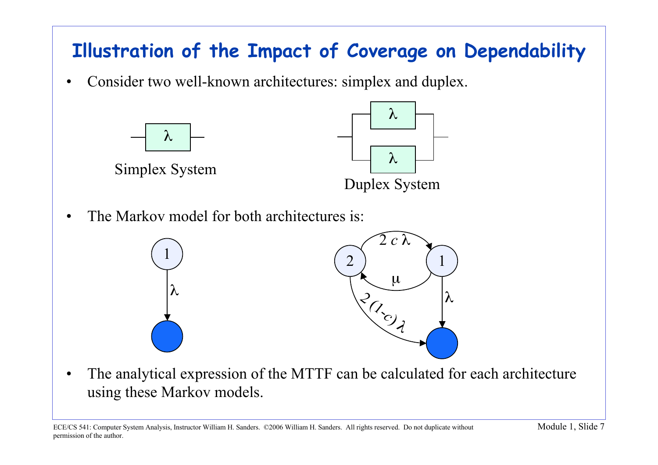

• The analytical expression of the MTTF can be calculated for each architecture using these Markov models.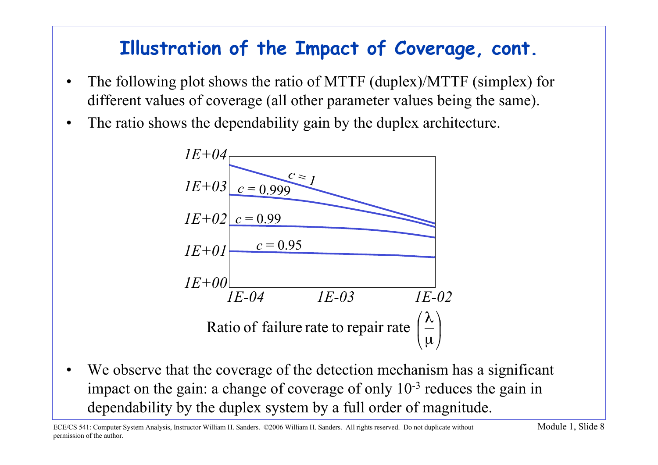## **Illustration of the Impact of Coverage, cont.**

- The following plot shows the ratio of MTTF (duplex)/MTTF (simplex) for different values of coverage (all other parameter values being the same).
- The ratio shows the dependability gain by the duplex architecture.



• We observe that the coverage of the detection mechanism has a significant impact on the gain: a change of coverage of only 10-3 reduces the gain in dependability by the duplex system by a full order of magnitude.